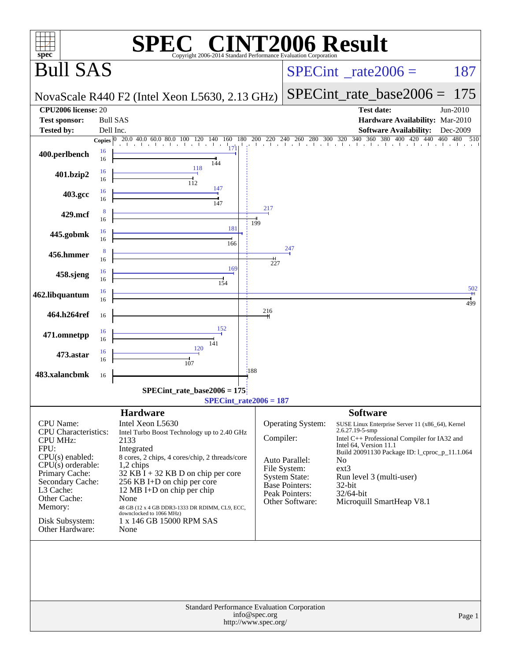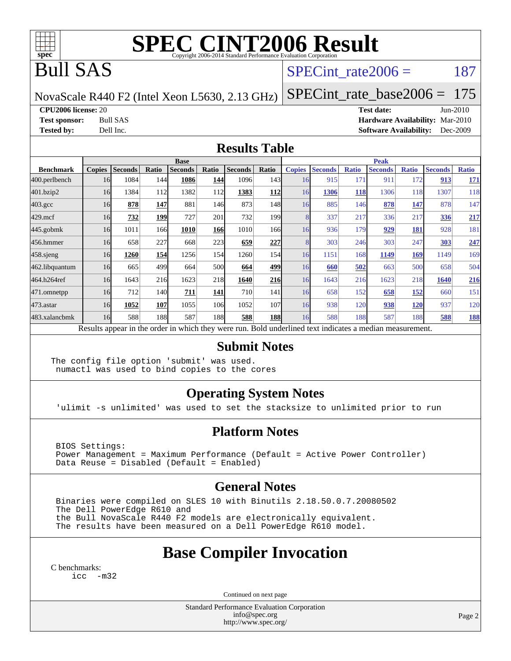

# **[SPEC CINT2006 Result](http://www.spec.org/auto/cpu2006/Docs/result-fields.html#SPECCINT2006Result)**

## Bull SAS

### SPECint rate $2006 = 187$

NovaScale R440 F2 (Intel Xeon L5630, 2.13 GHz)

[SPECint\\_rate\\_base2006 =](http://www.spec.org/auto/cpu2006/Docs/result-fields.html#SPECintratebase2006) 175

**[CPU2006 license:](http://www.spec.org/auto/cpu2006/Docs/result-fields.html#CPU2006license)** 20 **[Test date:](http://www.spec.org/auto/cpu2006/Docs/result-fields.html#Testdate)** Jun-2010

**[Test sponsor:](http://www.spec.org/auto/cpu2006/Docs/result-fields.html#Testsponsor)** Bull SAS **[Hardware Availability:](http://www.spec.org/auto/cpu2006/Docs/result-fields.html#HardwareAvailability)** Mar-2010 **[Tested by:](http://www.spec.org/auto/cpu2006/Docs/result-fields.html#Testedby)** Dell Inc. **[Software Availability:](http://www.spec.org/auto/cpu2006/Docs/result-fields.html#SoftwareAvailability)** Dec-2009

#### **[Results Table](http://www.spec.org/auto/cpu2006/Docs/result-fields.html#ResultsTable)**

|                    | <b>Base</b>                                                                                              |                |       |                |                 |                |       |               | <b>Peak</b>    |              |                |              |                |              |  |
|--------------------|----------------------------------------------------------------------------------------------------------|----------------|-------|----------------|-----------------|----------------|-------|---------------|----------------|--------------|----------------|--------------|----------------|--------------|--|
| <b>Benchmark</b>   | <b>Copies</b>                                                                                            | <b>Seconds</b> | Ratio | <b>Seconds</b> | Ratio           | <b>Seconds</b> | Ratio | <b>Copies</b> | <b>Seconds</b> | <b>Ratio</b> | <b>Seconds</b> | <b>Ratio</b> | <b>Seconds</b> | <b>Ratio</b> |  |
| 400.perlbench      | 16                                                                                                       | 1084           | 144   | 1086           | 144             | 1096           | 143   | 16            | 915            | 171          | 911            | 172          | 913            | <b>171</b>   |  |
| 401.bzip2          | 16                                                                                                       | 1384           | 112   | 1382           | 112             | 1383           | 112   | 16            | 1306           | 118          | 1306           | 118          | 1307           | 118          |  |
| $403.\mathrm{gcc}$ | 16                                                                                                       | 878            | 147   | 881            | 146             | 873            | 148   | 16            | 885            | 146          | 878            | 147          | 878            | 147          |  |
| $429$ .mcf         | 16                                                                                                       | 732            | 199   | 727            | 201             | 732            | 199   |               | 337            | 217          | 336            | 217          | 336            | 217          |  |
| $445$ .gobmk       | 16                                                                                                       | 1011           | 166   | 1010           | <b>166</b>      | 1010           | 166I  | 16            | 936            | 179          | 929            | 181          | 928            | 181          |  |
| 456.hmmer          | 16                                                                                                       | 658            | 227   | 668            | 223             | 659            | 227   |               | 303            | 246          | 303            | 247          | 303            | 247          |  |
| $458$ .sjeng       | 16                                                                                                       | 1260           | 154   | 1256           | 154             | 1260           | 154   | 16            | 1151           | 168          | 1149           | 169          | 1149           | 169          |  |
| 462.libquantum     | 16                                                                                                       | 665            | 499   | 664            | 500             | 664            | 499   | 16            | 660            | 502          | 663            | 500          | 658            | 504          |  |
| 464.h264ref        | 16                                                                                                       | 1643           | 216   | 1623           | 218             | 1640           | 216   | 16            | 1643           | 216          | 1623           | 218          | 1640           | 216          |  |
| 471.omnetpp        | 16                                                                                                       | 712            | 140   | 711            | 141             | 710            | 141   | 16            | 658            | 152          | 658            | <u>152</u>   | 660            | 151          |  |
| 473.astar          | 16                                                                                                       | 1052           | 107   | 1055           | 10 <sub>6</sub> | 1052           | 107   | 16            | 938            | 120          | 938            | <b>120</b>   | 937            | 120          |  |
| 483.xalancbmk      | 16                                                                                                       | 588            | 188   | 587            | 188             | 588            | 188   | 16            | 588            | 188          | 587            | 188          | 588            | <b>188</b>   |  |
|                    | Results appear in the order in which they were run. Bold underlined text indicates a median measurement. |                |       |                |                 |                |       |               |                |              |                |              |                |              |  |

#### **[Submit Notes](http://www.spec.org/auto/cpu2006/Docs/result-fields.html#SubmitNotes)**

The config file option 'submit' was used. numactl was used to bind copies to the cores

#### **[Operating System Notes](http://www.spec.org/auto/cpu2006/Docs/result-fields.html#OperatingSystemNotes)**

'ulimit -s unlimited' was used to set the stacksize to unlimited prior to run

#### **[Platform Notes](http://www.spec.org/auto/cpu2006/Docs/result-fields.html#PlatformNotes)**

 BIOS Settings: Power Management = Maximum Performance (Default = Active Power Controller) Data Reuse = Disabled (Default = Enabled)

#### **[General Notes](http://www.spec.org/auto/cpu2006/Docs/result-fields.html#GeneralNotes)**

 Binaries were compiled on SLES 10 with Binutils 2.18.50.0.7.20080502 The Dell PowerEdge R610 and the Bull NovaScale R440 F2 models are electronically equivalent. The results have been measured on a Dell PowerEdge R610 model.

### **[Base Compiler Invocation](http://www.spec.org/auto/cpu2006/Docs/result-fields.html#BaseCompilerInvocation)**

[C benchmarks](http://www.spec.org/auto/cpu2006/Docs/result-fields.html#Cbenchmarks): icc  $-m32$ 

Continued on next page

Standard Performance Evaluation Corporation [info@spec.org](mailto:info@spec.org) <http://www.spec.org/>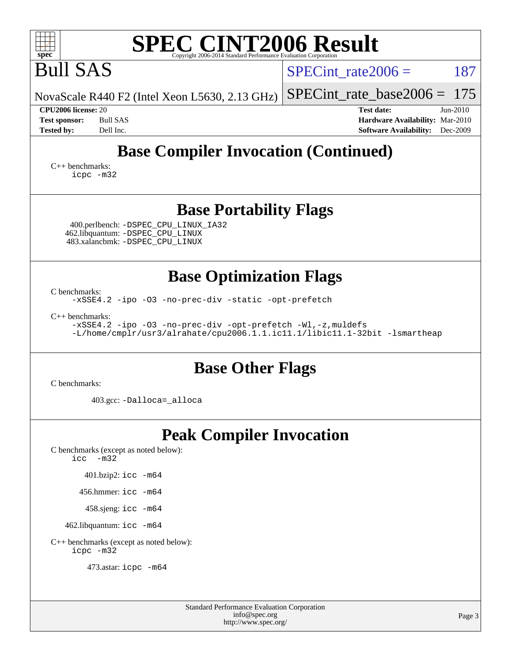| <b>SPEC CINT2006 Result</b><br>spec <sup>®</sup><br>Copyright 2006-2014 Standard Performance Evaluation Corporation                                                                             |                                                                                                              |  |  |  |  |  |
|-------------------------------------------------------------------------------------------------------------------------------------------------------------------------------------------------|--------------------------------------------------------------------------------------------------------------|--|--|--|--|--|
| <b>Bull SAS</b>                                                                                                                                                                                 | 187<br>$SPECint_rate2006 =$                                                                                  |  |  |  |  |  |
| NovaScale R440 F2 (Intel Xeon L5630, 2.13 GHz)                                                                                                                                                  | 175<br>$SPECint_rate_base2006 =$                                                                             |  |  |  |  |  |
| CPU2006 license: 20<br><b>Bull SAS</b><br><b>Test sponsor:</b><br><b>Tested by:</b><br>Dell Inc.                                                                                                | <b>Test date:</b><br>$Jun-2010$<br>Hardware Availability: Mar-2010<br><b>Software Availability:</b> Dec-2009 |  |  |  |  |  |
| <b>Base Compiler Invocation (Continued)</b>                                                                                                                                                     |                                                                                                              |  |  |  |  |  |
| $C_{++}$ benchmarks:<br>icpc -m32                                                                                                                                                               |                                                                                                              |  |  |  |  |  |
| <b>Base Portability Flags</b><br>400.perlbench: -DSPEC_CPU_LINUX_IA32<br>462.libquantum: - DSPEC_CPU_LINUX<br>483.xalancbmk: -DSPEC_CPU_LINUX                                                   |                                                                                                              |  |  |  |  |  |
| <b>Base Optimization Flags</b><br>C benchmarks:<br>-xSSE4.2 -ipo -03 -no-prec-div -static -opt-prefetch<br>$C_{++}$ benchmarks:<br>-xSSE4.2 -ipo -03 -no-prec-div -opt-prefetch -Wl,-z, muldefs |                                                                                                              |  |  |  |  |  |
| -L/home/cmplr/usr3/alrahate/cpu2006.1.1.ic11.1/libic11.1-32bit -lsmartheap                                                                                                                      |                                                                                                              |  |  |  |  |  |
| <b>Base Other Flags</b>                                                                                                                                                                         |                                                                                                              |  |  |  |  |  |
| C benchmarks:<br>403.gcc: -Dalloca=_alloca                                                                                                                                                      |                                                                                                              |  |  |  |  |  |
| <b>Peak Compiler Invocation</b>                                                                                                                                                                 |                                                                                                              |  |  |  |  |  |
| C benchmarks (except as noted below):<br>$\text{icc}$ -m32                                                                                                                                      |                                                                                                              |  |  |  |  |  |
| 401.bzip2: icc -m64                                                                                                                                                                             |                                                                                                              |  |  |  |  |  |
| 456.hmmer: $\text{icc}$ -m64                                                                                                                                                                    |                                                                                                              |  |  |  |  |  |
| 458.sjeng: icc -m64                                                                                                                                                                             |                                                                                                              |  |  |  |  |  |
| 462.libquantum: icc -m64                                                                                                                                                                        |                                                                                                              |  |  |  |  |  |
| C++ benchmarks (except as noted below):                                                                                                                                                         |                                                                                                              |  |  |  |  |  |

[icpc -m32](http://www.spec.org/cpu2006/results/res2010q3/cpu2006-20100706-12240.flags.html#user_CXXpeak_intel_icpc_32bit_4e5a5ef1a53fd332b3c49e69c3330699)

473.astar: [icpc -m64](http://www.spec.org/cpu2006/results/res2010q3/cpu2006-20100706-12240.flags.html#user_peakCXXLD473_astar_intel_icpc_64bit_fc66a5337ce925472a5c54ad6a0de310)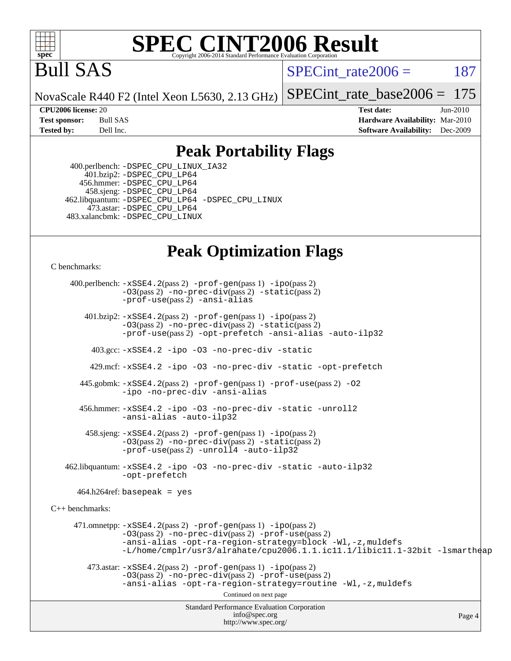

## **[SPEC CINT2006 Result](http://www.spec.org/auto/cpu2006/Docs/result-fields.html#SPECCINT2006Result)**

Bull SAS

SPECint rate $2006 = 187$ 

NovaScale R440 F2 (Intel Xeon L5630, 2.13 GHz) [SPECint\\_rate\\_base2006 =](http://www.spec.org/auto/cpu2006/Docs/result-fields.html#SPECintratebase2006) 175

**[CPU2006 license:](http://www.spec.org/auto/cpu2006/Docs/result-fields.html#CPU2006license)** 20 **[Test date:](http://www.spec.org/auto/cpu2006/Docs/result-fields.html#Testdate)** Jun-2010 **[Test sponsor:](http://www.spec.org/auto/cpu2006/Docs/result-fields.html#Testsponsor)** Bull SAS **[Hardware Availability:](http://www.spec.org/auto/cpu2006/Docs/result-fields.html#HardwareAvailability)** Mar-2010 **[Tested by:](http://www.spec.org/auto/cpu2006/Docs/result-fields.html#Testedby)** Dell Inc. **[Software Availability:](http://www.spec.org/auto/cpu2006/Docs/result-fields.html#SoftwareAvailability)** Dec-2009

### **[Peak Portability Flags](http://www.spec.org/auto/cpu2006/Docs/result-fields.html#PeakPortabilityFlags)**

 400.perlbench: [-DSPEC\\_CPU\\_LINUX\\_IA32](http://www.spec.org/cpu2006/results/res2010q3/cpu2006-20100706-12240.flags.html#b400.perlbench_peakCPORTABILITY_DSPEC_CPU_LINUX_IA32) 401.bzip2: [-DSPEC\\_CPU\\_LP64](http://www.spec.org/cpu2006/results/res2010q3/cpu2006-20100706-12240.flags.html#suite_peakCPORTABILITY401_bzip2_DSPEC_CPU_LP64) 456.hmmer: [-DSPEC\\_CPU\\_LP64](http://www.spec.org/cpu2006/results/res2010q3/cpu2006-20100706-12240.flags.html#suite_peakCPORTABILITY456_hmmer_DSPEC_CPU_LP64) 458.sjeng: [-DSPEC\\_CPU\\_LP64](http://www.spec.org/cpu2006/results/res2010q3/cpu2006-20100706-12240.flags.html#suite_peakCPORTABILITY458_sjeng_DSPEC_CPU_LP64) 462.libquantum: [-DSPEC\\_CPU\\_LP64](http://www.spec.org/cpu2006/results/res2010q3/cpu2006-20100706-12240.flags.html#suite_peakCPORTABILITY462_libquantum_DSPEC_CPU_LP64) [-DSPEC\\_CPU\\_LINUX](http://www.spec.org/cpu2006/results/res2010q3/cpu2006-20100706-12240.flags.html#b462.libquantum_peakCPORTABILITY_DSPEC_CPU_LINUX) 473.astar: [-DSPEC\\_CPU\\_LP64](http://www.spec.org/cpu2006/results/res2010q3/cpu2006-20100706-12240.flags.html#suite_peakCXXPORTABILITY473_astar_DSPEC_CPU_LP64) 483.xalancbmk: [-DSPEC\\_CPU\\_LINUX](http://www.spec.org/cpu2006/results/res2010q3/cpu2006-20100706-12240.flags.html#b483.xalancbmk_peakCXXPORTABILITY_DSPEC_CPU_LINUX)

## **[Peak Optimization Flags](http://www.spec.org/auto/cpu2006/Docs/result-fields.html#PeakOptimizationFlags)**

[C benchmarks](http://www.spec.org/auto/cpu2006/Docs/result-fields.html#Cbenchmarks):

Standard Performance Evaluation Corporation [info@spec.org](mailto:info@spec.org) <http://www.spec.org/> Page 4 400.perlbench: [-xSSE4.2](http://www.spec.org/cpu2006/results/res2010q3/cpu2006-20100706-12240.flags.html#user_peakPASS2_CFLAGSPASS2_LDCFLAGS400_perlbench_f-xSSE42_f91528193cf0b216347adb8b939d4107)(pass 2) [-prof-gen](http://www.spec.org/cpu2006/results/res2010q3/cpu2006-20100706-12240.flags.html#user_peakPASS1_CFLAGSPASS1_LDCFLAGS400_perlbench_prof_gen_e43856698f6ca7b7e442dfd80e94a8fc)(pass 1) [-ipo](http://www.spec.org/cpu2006/results/res2010q3/cpu2006-20100706-12240.flags.html#user_peakPASS2_CFLAGSPASS2_LDCFLAGS400_perlbench_f-ipo)(pass 2) [-O3](http://www.spec.org/cpu2006/results/res2010q3/cpu2006-20100706-12240.flags.html#user_peakPASS2_CFLAGSPASS2_LDCFLAGS400_perlbench_f-O3)(pass 2) [-no-prec-div](http://www.spec.org/cpu2006/results/res2010q3/cpu2006-20100706-12240.flags.html#user_peakPASS2_CFLAGSPASS2_LDCFLAGS400_perlbench_f-no-prec-div)(pass 2) [-static](http://www.spec.org/cpu2006/results/res2010q3/cpu2006-20100706-12240.flags.html#user_peakPASS2_CFLAGSPASS2_LDCFLAGS400_perlbench_f-static)(pass 2) [-prof-use](http://www.spec.org/cpu2006/results/res2010q3/cpu2006-20100706-12240.flags.html#user_peakPASS2_CFLAGSPASS2_LDCFLAGS400_perlbench_prof_use_bccf7792157ff70d64e32fe3e1250b55)(pass 2) [-ansi-alias](http://www.spec.org/cpu2006/results/res2010q3/cpu2006-20100706-12240.flags.html#user_peakCOPTIMIZE400_perlbench_f-ansi-alias) 401.bzip2: [-xSSE4.2](http://www.spec.org/cpu2006/results/res2010q3/cpu2006-20100706-12240.flags.html#user_peakPASS2_CFLAGSPASS2_LDCFLAGS401_bzip2_f-xSSE42_f91528193cf0b216347adb8b939d4107)(pass 2) [-prof-gen](http://www.spec.org/cpu2006/results/res2010q3/cpu2006-20100706-12240.flags.html#user_peakPASS1_CFLAGSPASS1_LDCFLAGS401_bzip2_prof_gen_e43856698f6ca7b7e442dfd80e94a8fc)(pass 1) [-ipo](http://www.spec.org/cpu2006/results/res2010q3/cpu2006-20100706-12240.flags.html#user_peakPASS2_CFLAGSPASS2_LDCFLAGS401_bzip2_f-ipo)(pass 2) [-O3](http://www.spec.org/cpu2006/results/res2010q3/cpu2006-20100706-12240.flags.html#user_peakPASS2_CFLAGSPASS2_LDCFLAGS401_bzip2_f-O3)(pass 2) [-no-prec-div](http://www.spec.org/cpu2006/results/res2010q3/cpu2006-20100706-12240.flags.html#user_peakPASS2_CFLAGSPASS2_LDCFLAGS401_bzip2_f-no-prec-div)(pass 2) [-static](http://www.spec.org/cpu2006/results/res2010q3/cpu2006-20100706-12240.flags.html#user_peakPASS2_CFLAGSPASS2_LDCFLAGS401_bzip2_f-static)(pass 2) [-prof-use](http://www.spec.org/cpu2006/results/res2010q3/cpu2006-20100706-12240.flags.html#user_peakPASS2_CFLAGSPASS2_LDCFLAGS401_bzip2_prof_use_bccf7792157ff70d64e32fe3e1250b55)(pass 2) [-opt-prefetch](http://www.spec.org/cpu2006/results/res2010q3/cpu2006-20100706-12240.flags.html#user_peakCOPTIMIZE401_bzip2_f-opt-prefetch) [-ansi-alias](http://www.spec.org/cpu2006/results/res2010q3/cpu2006-20100706-12240.flags.html#user_peakCOPTIMIZE401_bzip2_f-ansi-alias) [-auto-ilp32](http://www.spec.org/cpu2006/results/res2010q3/cpu2006-20100706-12240.flags.html#user_peakCOPTIMIZE401_bzip2_f-auto-ilp32) 403.gcc: [-xSSE4.2](http://www.spec.org/cpu2006/results/res2010q3/cpu2006-20100706-12240.flags.html#user_peakCOPTIMIZE403_gcc_f-xSSE42_f91528193cf0b216347adb8b939d4107) [-ipo](http://www.spec.org/cpu2006/results/res2010q3/cpu2006-20100706-12240.flags.html#user_peakCOPTIMIZE403_gcc_f-ipo) [-O3](http://www.spec.org/cpu2006/results/res2010q3/cpu2006-20100706-12240.flags.html#user_peakCOPTIMIZE403_gcc_f-O3) [-no-prec-div](http://www.spec.org/cpu2006/results/res2010q3/cpu2006-20100706-12240.flags.html#user_peakCOPTIMIZE403_gcc_f-no-prec-div) [-static](http://www.spec.org/cpu2006/results/res2010q3/cpu2006-20100706-12240.flags.html#user_peakCOPTIMIZE403_gcc_f-static) 429.mcf: [-xSSE4.2](http://www.spec.org/cpu2006/results/res2010q3/cpu2006-20100706-12240.flags.html#user_peakCOPTIMIZE429_mcf_f-xSSE42_f91528193cf0b216347adb8b939d4107) [-ipo](http://www.spec.org/cpu2006/results/res2010q3/cpu2006-20100706-12240.flags.html#user_peakCOPTIMIZE429_mcf_f-ipo) [-O3](http://www.spec.org/cpu2006/results/res2010q3/cpu2006-20100706-12240.flags.html#user_peakCOPTIMIZE429_mcf_f-O3) [-no-prec-div](http://www.spec.org/cpu2006/results/res2010q3/cpu2006-20100706-12240.flags.html#user_peakCOPTIMIZE429_mcf_f-no-prec-div) [-static](http://www.spec.org/cpu2006/results/res2010q3/cpu2006-20100706-12240.flags.html#user_peakCOPTIMIZE429_mcf_f-static) [-opt-prefetch](http://www.spec.org/cpu2006/results/res2010q3/cpu2006-20100706-12240.flags.html#user_peakCOPTIMIZE429_mcf_f-opt-prefetch) 445.gobmk: [-xSSE4.2](http://www.spec.org/cpu2006/results/res2010q3/cpu2006-20100706-12240.flags.html#user_peakPASS2_CFLAGSPASS2_LDCFLAGS445_gobmk_f-xSSE42_f91528193cf0b216347adb8b939d4107)(pass 2) [-prof-gen](http://www.spec.org/cpu2006/results/res2010q3/cpu2006-20100706-12240.flags.html#user_peakPASS1_CFLAGSPASS1_LDCFLAGS445_gobmk_prof_gen_e43856698f6ca7b7e442dfd80e94a8fc)(pass 1) [-prof-use](http://www.spec.org/cpu2006/results/res2010q3/cpu2006-20100706-12240.flags.html#user_peakPASS2_CFLAGSPASS2_LDCFLAGS445_gobmk_prof_use_bccf7792157ff70d64e32fe3e1250b55)(pass 2) [-O2](http://www.spec.org/cpu2006/results/res2010q3/cpu2006-20100706-12240.flags.html#user_peakCOPTIMIZE445_gobmk_f-O2) [-ipo](http://www.spec.org/cpu2006/results/res2010q3/cpu2006-20100706-12240.flags.html#user_peakCOPTIMIZE445_gobmk_f-ipo) [-no-prec-div](http://www.spec.org/cpu2006/results/res2010q3/cpu2006-20100706-12240.flags.html#user_peakCOPTIMIZE445_gobmk_f-no-prec-div) [-ansi-alias](http://www.spec.org/cpu2006/results/res2010q3/cpu2006-20100706-12240.flags.html#user_peakCOPTIMIZE445_gobmk_f-ansi-alias) 456.hmmer: [-xSSE4.2](http://www.spec.org/cpu2006/results/res2010q3/cpu2006-20100706-12240.flags.html#user_peakCOPTIMIZE456_hmmer_f-xSSE42_f91528193cf0b216347adb8b939d4107) [-ipo](http://www.spec.org/cpu2006/results/res2010q3/cpu2006-20100706-12240.flags.html#user_peakCOPTIMIZE456_hmmer_f-ipo) [-O3](http://www.spec.org/cpu2006/results/res2010q3/cpu2006-20100706-12240.flags.html#user_peakCOPTIMIZE456_hmmer_f-O3) [-no-prec-div](http://www.spec.org/cpu2006/results/res2010q3/cpu2006-20100706-12240.flags.html#user_peakCOPTIMIZE456_hmmer_f-no-prec-div) [-static](http://www.spec.org/cpu2006/results/res2010q3/cpu2006-20100706-12240.flags.html#user_peakCOPTIMIZE456_hmmer_f-static) [-unroll2](http://www.spec.org/cpu2006/results/res2010q3/cpu2006-20100706-12240.flags.html#user_peakCOPTIMIZE456_hmmer_f-unroll_784dae83bebfb236979b41d2422d7ec2) [-ansi-alias](http://www.spec.org/cpu2006/results/res2010q3/cpu2006-20100706-12240.flags.html#user_peakCOPTIMIZE456_hmmer_f-ansi-alias) [-auto-ilp32](http://www.spec.org/cpu2006/results/res2010q3/cpu2006-20100706-12240.flags.html#user_peakCOPTIMIZE456_hmmer_f-auto-ilp32) 458.sjeng: [-xSSE4.2](http://www.spec.org/cpu2006/results/res2010q3/cpu2006-20100706-12240.flags.html#user_peakPASS2_CFLAGSPASS2_LDCFLAGS458_sjeng_f-xSSE42_f91528193cf0b216347adb8b939d4107)(pass 2) [-prof-gen](http://www.spec.org/cpu2006/results/res2010q3/cpu2006-20100706-12240.flags.html#user_peakPASS1_CFLAGSPASS1_LDCFLAGS458_sjeng_prof_gen_e43856698f6ca7b7e442dfd80e94a8fc)(pass 1) [-ipo](http://www.spec.org/cpu2006/results/res2010q3/cpu2006-20100706-12240.flags.html#user_peakPASS2_CFLAGSPASS2_LDCFLAGS458_sjeng_f-ipo)(pass 2) [-O3](http://www.spec.org/cpu2006/results/res2010q3/cpu2006-20100706-12240.flags.html#user_peakPASS2_CFLAGSPASS2_LDCFLAGS458_sjeng_f-O3)(pass 2) [-no-prec-div](http://www.spec.org/cpu2006/results/res2010q3/cpu2006-20100706-12240.flags.html#user_peakPASS2_CFLAGSPASS2_LDCFLAGS458_sjeng_f-no-prec-div)(pass 2) [-static](http://www.spec.org/cpu2006/results/res2010q3/cpu2006-20100706-12240.flags.html#user_peakPASS2_CFLAGSPASS2_LDCFLAGS458_sjeng_f-static)(pass 2) [-prof-use](http://www.spec.org/cpu2006/results/res2010q3/cpu2006-20100706-12240.flags.html#user_peakPASS2_CFLAGSPASS2_LDCFLAGS458_sjeng_prof_use_bccf7792157ff70d64e32fe3e1250b55)(pass 2) [-unroll4](http://www.spec.org/cpu2006/results/res2010q3/cpu2006-20100706-12240.flags.html#user_peakCOPTIMIZE458_sjeng_f-unroll_4e5e4ed65b7fd20bdcd365bec371b81f) [-auto-ilp32](http://www.spec.org/cpu2006/results/res2010q3/cpu2006-20100706-12240.flags.html#user_peakCOPTIMIZE458_sjeng_f-auto-ilp32) 462.libquantum: [-xSSE4.2](http://www.spec.org/cpu2006/results/res2010q3/cpu2006-20100706-12240.flags.html#user_peakCOPTIMIZE462_libquantum_f-xSSE42_f91528193cf0b216347adb8b939d4107) [-ipo](http://www.spec.org/cpu2006/results/res2010q3/cpu2006-20100706-12240.flags.html#user_peakCOPTIMIZE462_libquantum_f-ipo) [-O3](http://www.spec.org/cpu2006/results/res2010q3/cpu2006-20100706-12240.flags.html#user_peakCOPTIMIZE462_libquantum_f-O3) [-no-prec-div](http://www.spec.org/cpu2006/results/res2010q3/cpu2006-20100706-12240.flags.html#user_peakCOPTIMIZE462_libquantum_f-no-prec-div) [-static](http://www.spec.org/cpu2006/results/res2010q3/cpu2006-20100706-12240.flags.html#user_peakCOPTIMIZE462_libquantum_f-static) [-auto-ilp32](http://www.spec.org/cpu2006/results/res2010q3/cpu2006-20100706-12240.flags.html#user_peakCOPTIMIZE462_libquantum_f-auto-ilp32) [-opt-prefetch](http://www.spec.org/cpu2006/results/res2010q3/cpu2006-20100706-12240.flags.html#user_peakCOPTIMIZE462_libquantum_f-opt-prefetch)  $464.h264$ ref: basepeak = yes [C++ benchmarks:](http://www.spec.org/auto/cpu2006/Docs/result-fields.html#CXXbenchmarks) 471.omnetpp: [-xSSE4.2](http://www.spec.org/cpu2006/results/res2010q3/cpu2006-20100706-12240.flags.html#user_peakPASS2_CXXFLAGSPASS2_LDCXXFLAGS471_omnetpp_f-xSSE42_f91528193cf0b216347adb8b939d4107)(pass 2) [-prof-gen](http://www.spec.org/cpu2006/results/res2010q3/cpu2006-20100706-12240.flags.html#user_peakPASS1_CXXFLAGSPASS1_LDCXXFLAGS471_omnetpp_prof_gen_e43856698f6ca7b7e442dfd80e94a8fc)(pass 1) [-ipo](http://www.spec.org/cpu2006/results/res2010q3/cpu2006-20100706-12240.flags.html#user_peakPASS2_CXXFLAGSPASS2_LDCXXFLAGS471_omnetpp_f-ipo)(pass 2) [-O3](http://www.spec.org/cpu2006/results/res2010q3/cpu2006-20100706-12240.flags.html#user_peakPASS2_CXXFLAGSPASS2_LDCXXFLAGS471_omnetpp_f-O3)(pass 2) [-no-prec-div](http://www.spec.org/cpu2006/results/res2010q3/cpu2006-20100706-12240.flags.html#user_peakPASS2_CXXFLAGSPASS2_LDCXXFLAGS471_omnetpp_f-no-prec-div)(pass 2) [-prof-use](http://www.spec.org/cpu2006/results/res2010q3/cpu2006-20100706-12240.flags.html#user_peakPASS2_CXXFLAGSPASS2_LDCXXFLAGS471_omnetpp_prof_use_bccf7792157ff70d64e32fe3e1250b55)(pass 2) [-ansi-alias](http://www.spec.org/cpu2006/results/res2010q3/cpu2006-20100706-12240.flags.html#user_peakCXXOPTIMIZE471_omnetpp_f-ansi-alias) [-opt-ra-region-strategy=block](http://www.spec.org/cpu2006/results/res2010q3/cpu2006-20100706-12240.flags.html#user_peakCXXOPTIMIZE471_omnetpp_f-opt-ra-region-strategy-block_a0a37c372d03933b2a18d4af463c1f69) [-Wl,-z,muldefs](http://www.spec.org/cpu2006/results/res2010q3/cpu2006-20100706-12240.flags.html#user_peakEXTRA_LDFLAGS471_omnetpp_link_force_multiple1_74079c344b956b9658436fd1b6dd3a8a) [-L/home/cmplr/usr3/alrahate/cpu2006.1.1.ic11.1/libic11.1-32bit -lsmartheap](http://www.spec.org/cpu2006/results/res2010q3/cpu2006-20100706-12240.flags.html#user_peakEXTRA_LIBS471_omnetpp_SmartHeap_d86dffe4a79b79ef8890d5cce17030c3)  $473.\text{astar: } -xSSE4$ .  $2(\text{pass 2})$   $-\text{prof-gen}(\text{pass 1})$   $-i\text{po}(\text{pass 2})$ [-O3](http://www.spec.org/cpu2006/results/res2010q3/cpu2006-20100706-12240.flags.html#user_peakPASS2_CXXFLAGSPASS2_LDCXXFLAGS473_astar_f-O3)(pass 2) [-no-prec-div](http://www.spec.org/cpu2006/results/res2010q3/cpu2006-20100706-12240.flags.html#user_peakPASS2_CXXFLAGSPASS2_LDCXXFLAGS473_astar_f-no-prec-div)(pass 2) [-prof-use](http://www.spec.org/cpu2006/results/res2010q3/cpu2006-20100706-12240.flags.html#user_peakPASS2_CXXFLAGSPASS2_LDCXXFLAGS473_astar_prof_use_bccf7792157ff70d64e32fe3e1250b55)(pass 2) [-ansi-alias](http://www.spec.org/cpu2006/results/res2010q3/cpu2006-20100706-12240.flags.html#user_peakCXXOPTIMIZE473_astar_f-ansi-alias) [-opt-ra-region-strategy=routine](http://www.spec.org/cpu2006/results/res2010q3/cpu2006-20100706-12240.flags.html#user_peakCXXOPTIMIZE473_astar_f-opt-ra-region-strategy-routine_ba086ea3b1d46a52e1238e2ca173ed44) [-Wl,-z,muldefs](http://www.spec.org/cpu2006/results/res2010q3/cpu2006-20100706-12240.flags.html#user_peakEXTRA_LDFLAGS473_astar_link_force_multiple1_74079c344b956b9658436fd1b6dd3a8a) Continued on next page